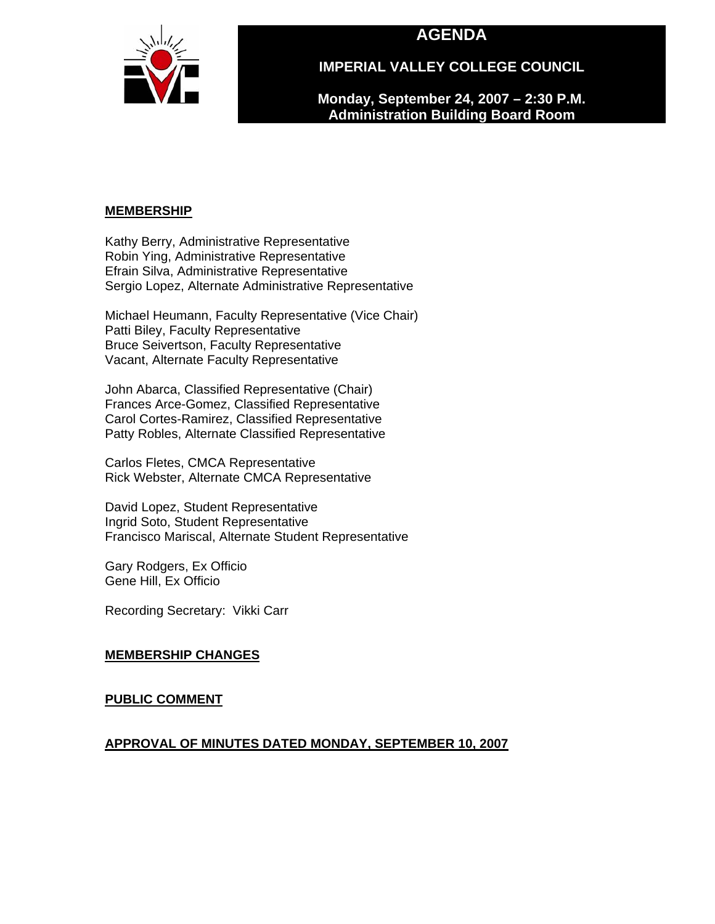**AGENDA** 



**IMPERIAL VALLEY COLLEGE COUNCIL** 

**Monday, September 24, 2007 – 2:30 P.M. Administration Building Board Room** 

# **MEMBERSHIP**

Kathy Berry, Administrative Representative Robin Ying, Administrative Representative Efrain Silva, Administrative Representative Sergio Lopez, Alternate Administrative Representative

Michael Heumann, Faculty Representative (Vice Chair) Patti Biley, Faculty Representative Bruce Seivertson, Faculty Representative Vacant, Alternate Faculty Representative

John Abarca, Classified Representative (Chair) Frances Arce-Gomez, Classified Representative Carol Cortes-Ramirez, Classified Representative Patty Robles, Alternate Classified Representative

Carlos Fletes, CMCA Representative Rick Webster, Alternate CMCA Representative

David Lopez, Student Representative Ingrid Soto, Student Representative Francisco Mariscal, Alternate Student Representative

Gary Rodgers, Ex Officio Gene Hill, Ex Officio

Recording Secretary: Vikki Carr

## **MEMBERSHIP CHANGES**

## **PUBLIC COMMENT**

# **APPROVAL OF MINUTES DATED MONDAY, SEPTEMBER 10, 2007**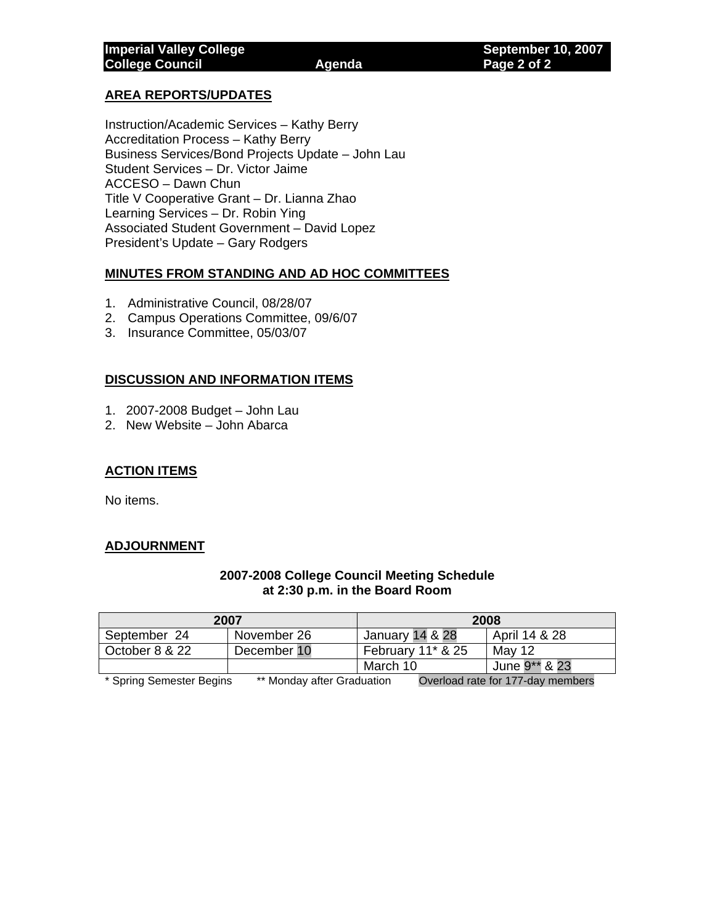# **AREA REPORTS/UPDATES**

Instruction/Academic Services – Kathy Berry Accreditation Process – Kathy Berry Business Services/Bond Projects Update – John Lau Student Services – Dr. Victor Jaime ACCESO – Dawn Chun Title V Cooperative Grant – Dr. Lianna Zhao Learning Services – Dr. Robin Ying Associated Student Government – David Lopez President's Update – Gary Rodgers

## **MINUTES FROM STANDING AND AD HOC COMMITTEES**

- 1. Administrative Council, 08/28/07
- 2. Campus Operations Committee, 09/6/07
- 3. Insurance Committee, 05/03/07

## **DISCUSSION AND INFORMATION ITEMS**

- 1. 2007-2008 Budget John Lau
- 2. New Website John Abarca

# **ACTION ITEMS**

No items.

## **ADJOURNMENT**

| 2007                     |                            | 2008                |                                   |  |  |
|--------------------------|----------------------------|---------------------|-----------------------------------|--|--|
| September 24             | November 26                | January 14 & 28     | April 14 & 28                     |  |  |
| October 8 & 22           | December 10                | February $11* 8.25$ | Mav 12                            |  |  |
|                          |                            | March 10            | June 9** & 23                     |  |  |
| * Spring Semester Begins | ** Monday after Graduation |                     | Overload rate for 177-day members |  |  |

# **2007-2008 College Council Meeting Schedule at 2:30 p.m. in the Board Room**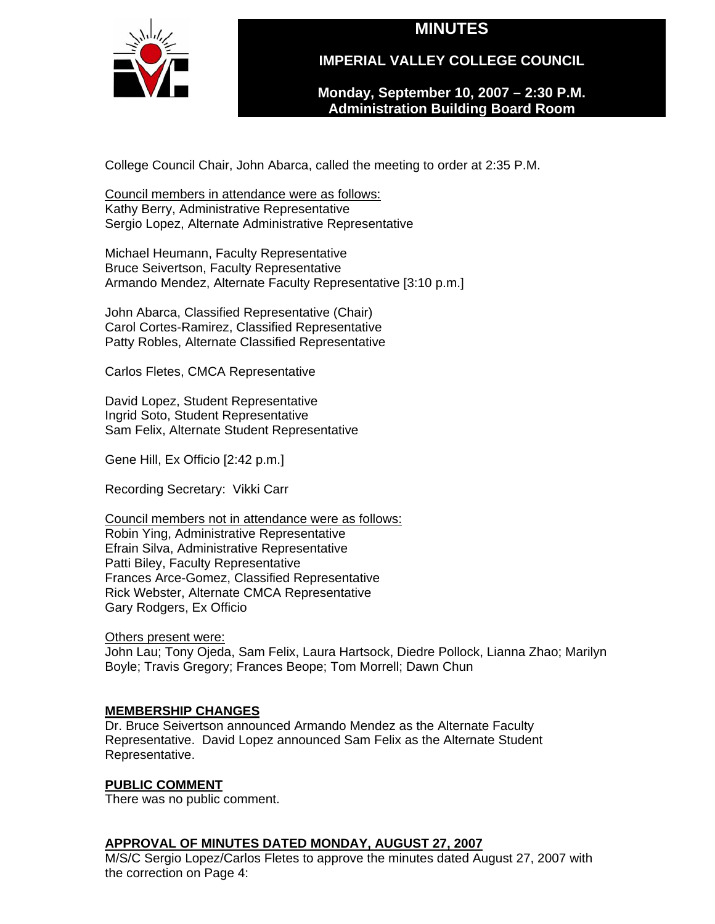**MINUTES** 



**IMPERIAL VALLEY COLLEGE COUNCIL** 

**Monday, September 10, 2007 – 2:30 P.M. Administration Building Board Room** 

College Council Chair, John Abarca, called the meeting to order at 2:35 P.M.

Council members in attendance were as follows: Kathy Berry, Administrative Representative Sergio Lopez, Alternate Administrative Representative

Michael Heumann, Faculty Representative Bruce Seivertson, Faculty Representative Armando Mendez, Alternate Faculty Representative [3:10 p.m.]

John Abarca, Classified Representative (Chair) Carol Cortes-Ramirez, Classified Representative Patty Robles, Alternate Classified Representative

Carlos Fletes, CMCA Representative

David Lopez, Student Representative Ingrid Soto, Student Representative Sam Felix, Alternate Student Representative

Gene Hill, Ex Officio [2:42 p.m.]

Recording Secretary: Vikki Carr

Council members not in attendance were as follows: Robin Ying, Administrative Representative Efrain Silva, Administrative Representative Patti Biley, Faculty Representative Frances Arce-Gomez, Classified Representative Rick Webster, Alternate CMCA Representative Gary Rodgers, Ex Officio

Others present were:

John Lau; Tony Ojeda, Sam Felix, Laura Hartsock, Diedre Pollock, Lianna Zhao; Marilyn Boyle; Travis Gregory; Frances Beope; Tom Morrell; Dawn Chun

# **MEMBERSHIP CHANGES**

Dr. Bruce Seivertson announced Armando Mendez as the Alternate Faculty Representative. David Lopez announced Sam Felix as the Alternate Student Representative.

# **PUBLIC COMMENT**

There was no public comment.

# **APPROVAL OF MINUTES DATED MONDAY, AUGUST 27, 2007**

M/S/C Sergio Lopez/Carlos Fletes to approve the minutes dated August 27, 2007 with the correction on Page 4: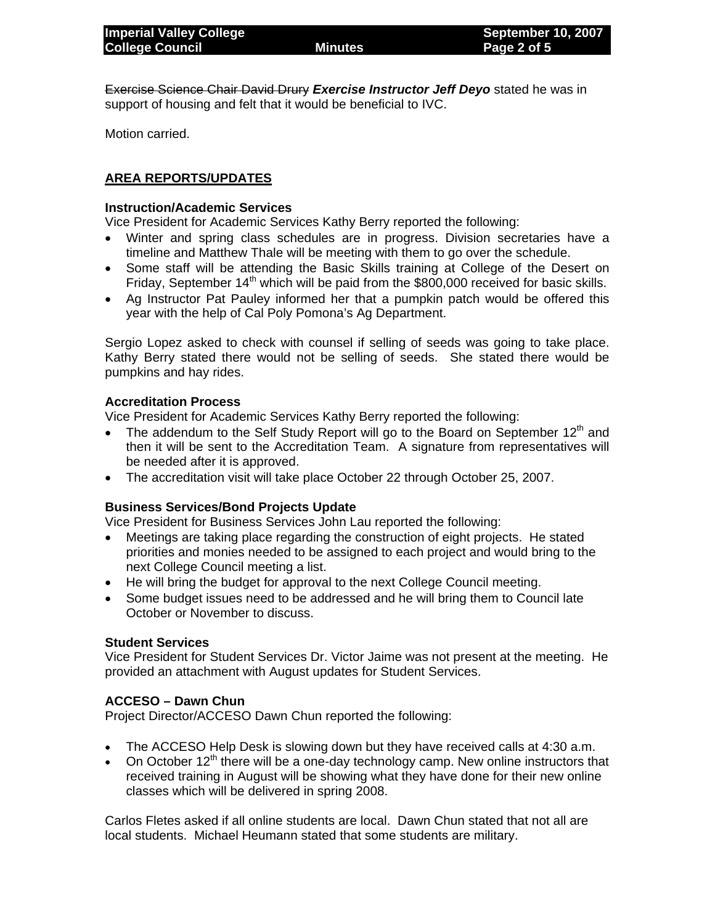Exercise Science Chair David Drury *Exercise Instructor Jeff Deyo* stated he was in support of housing and felt that it would be beneficial to IVC.

Motion carried.

# **AREA REPORTS/UPDATES**

## **Instruction/Academic Services**

Vice President for Academic Services Kathy Berry reported the following:

- Winter and spring class schedules are in progress. Division secretaries have a timeline and Matthew Thale will be meeting with them to go over the schedule.
- Some staff will be attending the Basic Skills training at College of the Desert on Friday, September  $14<sup>th</sup>$  which will be paid from the \$800,000 received for basic skills.
- Ag Instructor Pat Pauley informed her that a pumpkin patch would be offered this year with the help of Cal Poly Pomona's Ag Department.

Sergio Lopez asked to check with counsel if selling of seeds was going to take place. Kathy Berry stated there would not be selling of seeds. She stated there would be pumpkins and hay rides.

## **Accreditation Process**

Vice President for Academic Services Kathy Berry reported the following:

- The addendum to the Self Study Report will go to the Board on September 12<sup>th</sup> and then it will be sent to the Accreditation Team. A signature from representatives will be needed after it is approved.
- The accreditation visit will take place October 22 through October 25, 2007.

# **Business Services/Bond Projects Update**

Vice President for Business Services John Lau reported the following:

- Meetings are taking place regarding the construction of eight projects. He stated priorities and monies needed to be assigned to each project and would bring to the next College Council meeting a list.
- He will bring the budget for approval to the next College Council meeting.
- Some budget issues need to be addressed and he will bring them to Council late October or November to discuss.

## **Student Services**

Vice President for Student Services Dr. Victor Jaime was not present at the meeting. He provided an attachment with August updates for Student Services.

# **ACCESO – Dawn Chun**

Project Director/ACCESO Dawn Chun reported the following:

- The ACCESO Help Desk is slowing down but they have received calls at 4:30 a.m.
- On October  $12<sup>th</sup>$  there will be a one-day technology camp. New online instructors that received training in August will be showing what they have done for their new online classes which will be delivered in spring 2008.

Carlos Fletes asked if all online students are local. Dawn Chun stated that not all are local students. Michael Heumann stated that some students are military.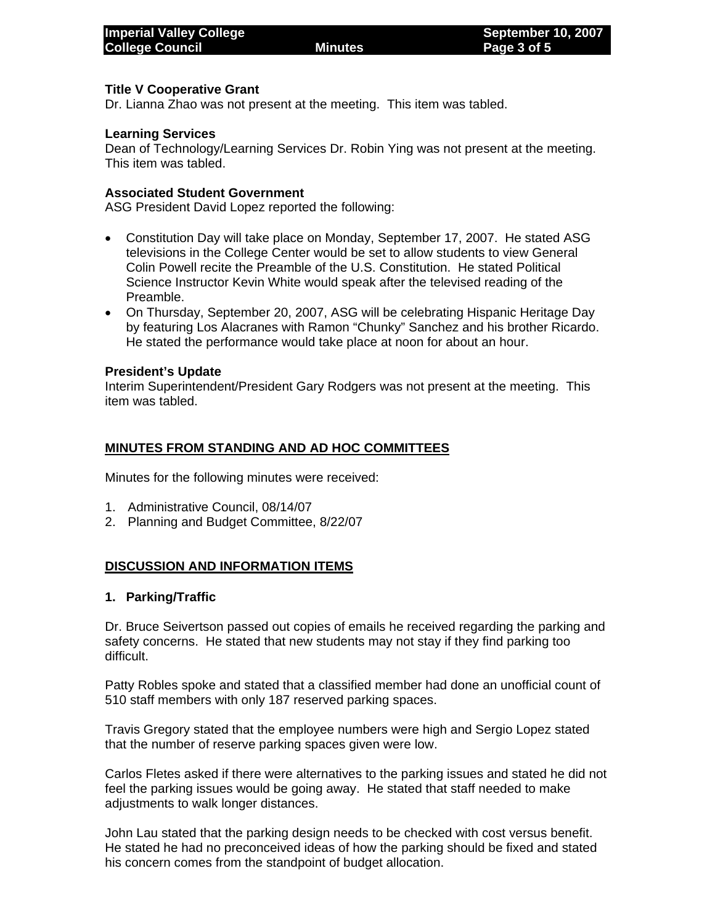## **Title V Cooperative Grant**

Dr. Lianna Zhao was not present at the meeting. This item was tabled.

# **Learning Services**

Dean of Technology/Learning Services Dr. Robin Ying was not present at the meeting. This item was tabled.

# **Associated Student Government**

ASG President David Lopez reported the following:

- Constitution Day will take place on Monday, September 17, 2007. He stated ASG televisions in the College Center would be set to allow students to view General Colin Powell recite the Preamble of the U.S. Constitution. He stated Political Science Instructor Kevin White would speak after the televised reading of the Preamble.
- On Thursday, September 20, 2007, ASG will be celebrating Hispanic Heritage Day by featuring Los Alacranes with Ramon "Chunky" Sanchez and his brother Ricardo. He stated the performance would take place at noon for about an hour.

## **President's Update**

Interim Superintendent/President Gary Rodgers was not present at the meeting. This item was tabled.

# **MINUTES FROM STANDING AND AD HOC COMMITTEES**

Minutes for the following minutes were received:

- 1. Administrative Council, 08/14/07
- 2. Planning and Budget Committee, 8/22/07

# **DISCUSSION AND INFORMATION ITEMS**

## **1. Parking/Traffic**

Dr. Bruce Seivertson passed out copies of emails he received regarding the parking and safety concerns. He stated that new students may not stay if they find parking too difficult.

Patty Robles spoke and stated that a classified member had done an unofficial count of 510 staff members with only 187 reserved parking spaces.

Travis Gregory stated that the employee numbers were high and Sergio Lopez stated that the number of reserve parking spaces given were low.

Carlos Fletes asked if there were alternatives to the parking issues and stated he did not feel the parking issues would be going away. He stated that staff needed to make adjustments to walk longer distances.

John Lau stated that the parking design needs to be checked with cost versus benefit. He stated he had no preconceived ideas of how the parking should be fixed and stated his concern comes from the standpoint of budget allocation.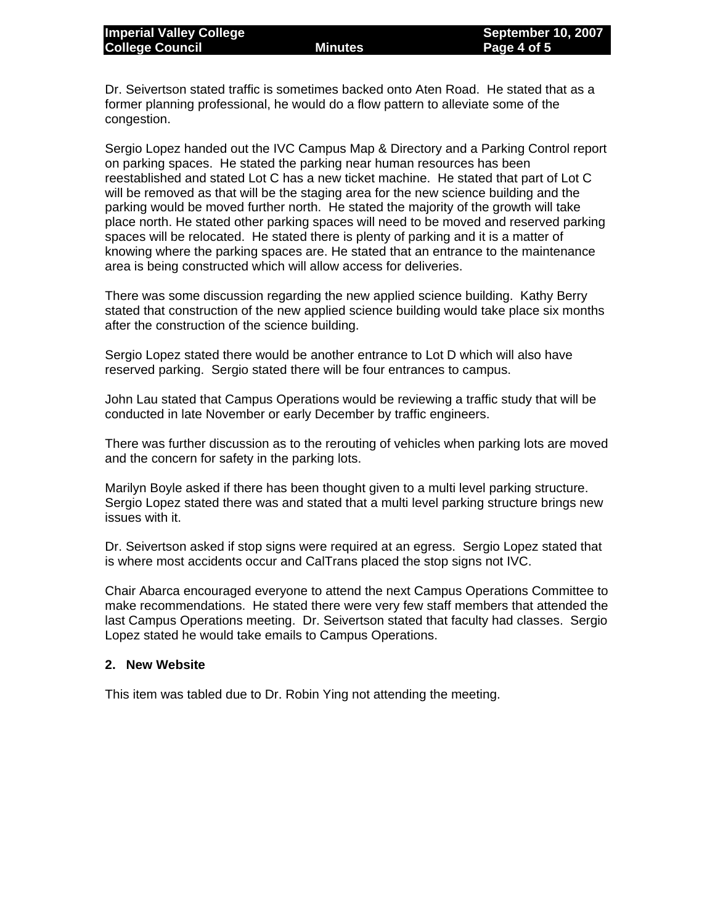Dr. Seivertson stated traffic is sometimes backed onto Aten Road. He stated that as a former planning professional, he would do a flow pattern to alleviate some of the congestion.

Sergio Lopez handed out the IVC Campus Map & Directory and a Parking Control report on parking spaces. He stated the parking near human resources has been reestablished and stated Lot C has a new ticket machine. He stated that part of Lot C will be removed as that will be the staging area for the new science building and the parking would be moved further north. He stated the majority of the growth will take place north. He stated other parking spaces will need to be moved and reserved parking spaces will be relocated. He stated there is plenty of parking and it is a matter of knowing where the parking spaces are. He stated that an entrance to the maintenance area is being constructed which will allow access for deliveries.

There was some discussion regarding the new applied science building. Kathy Berry stated that construction of the new applied science building would take place six months after the construction of the science building.

Sergio Lopez stated there would be another entrance to Lot D which will also have reserved parking. Sergio stated there will be four entrances to campus.

John Lau stated that Campus Operations would be reviewing a traffic study that will be conducted in late November or early December by traffic engineers.

There was further discussion as to the rerouting of vehicles when parking lots are moved and the concern for safety in the parking lots.

Marilyn Boyle asked if there has been thought given to a multi level parking structure. Sergio Lopez stated there was and stated that a multi level parking structure brings new issues with it.

Dr. Seivertson asked if stop signs were required at an egress. Sergio Lopez stated that is where most accidents occur and CalTrans placed the stop signs not IVC.

Chair Abarca encouraged everyone to attend the next Campus Operations Committee to make recommendations. He stated there were very few staff members that attended the last Campus Operations meeting. Dr. Seivertson stated that faculty had classes. Sergio Lopez stated he would take emails to Campus Operations.

## **2. New Website**

This item was tabled due to Dr. Robin Ying not attending the meeting.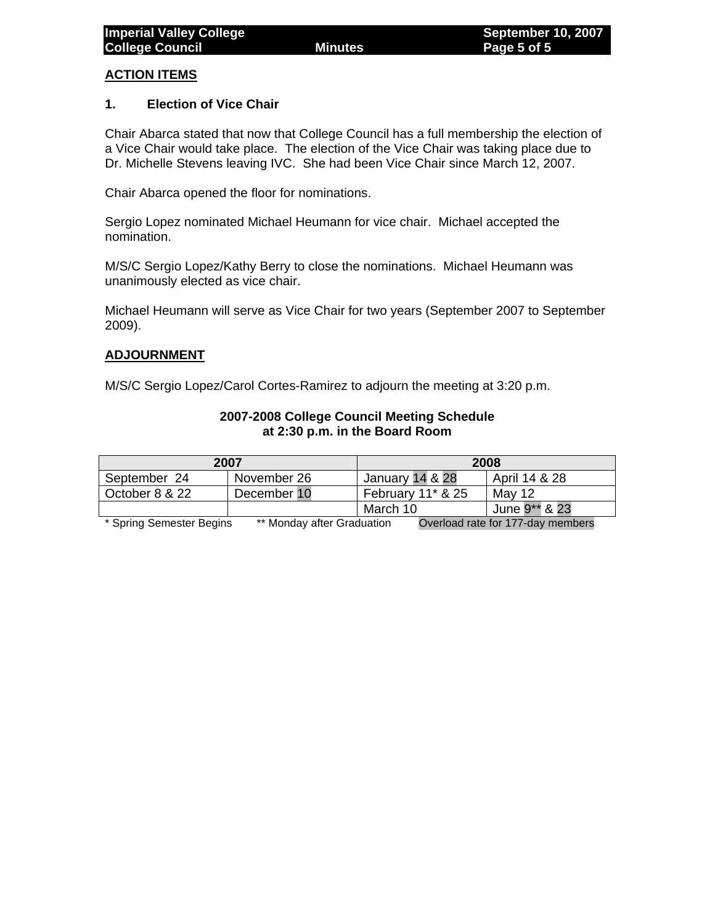## **ACTION ITEMS**

## **1. Election of Vice Chair**

Chair Abarca stated that now that College Council has a full membership the election of a Vice Chair would take place. The election of the Vice Chair was taking place due to Dr. Michelle Stevens leaving IVC. She had been Vice Chair since March 12, 2007.

Chair Abarca opened the floor for nominations.

Sergio Lopez nominated Michael Heumann for vice chair. Michael accepted the nomination.

M/S/C Sergio Lopez/Kathy Berry to close the nominations. Michael Heumann was unanimously elected as vice chair.

Michael Heumann will serve as Vice Chair for two years (September 2007 to September 2009).

## **ADJOURNMENT**

M/S/C Sergio Lopez/Carol Cortes-Ramirez to adjourn the meeting at 3:20 p.m.

| 2007                                                                                                                         |             | 2008                |               |  |
|------------------------------------------------------------------------------------------------------------------------------|-------------|---------------------|---------------|--|
| September 24                                                                                                                 | November 26 | January 14 & 28     | April 14 & 28 |  |
| October 8 & 22                                                                                                               | December 10 | February $11*$ & 25 | Mav 12        |  |
|                                                                                                                              |             | March 10            | June 9** & 23 |  |
| $\cdots$<br>.<br>$\sim$ $\sim$ $\sim$ $\sim$<br>$\rightarrow$ $\rightarrow$ $\rightarrow$ $\rightarrow$ $\rightarrow$<br>- - |             |                     |               |  |

# **2007-2008 College Council Meeting Schedule at 2:30 p.m. in the Board Room**

\* Spring Semester Begins \*\* Monday after Graduation Overload rate for 177-day members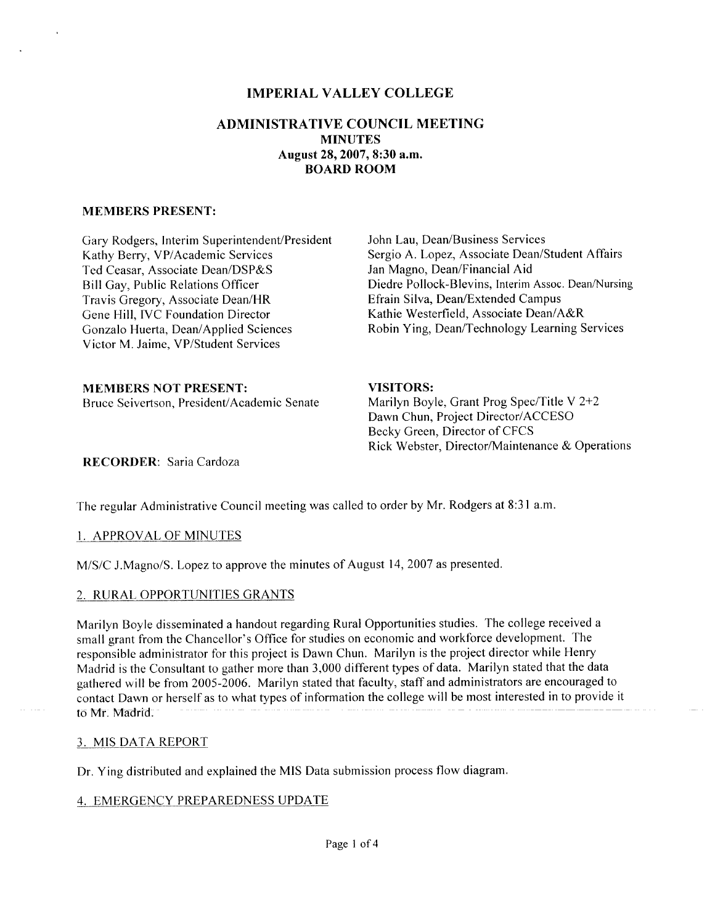# **IMPERIAL VALLEY COLLEGE**

## **ADMINISTRATIVE COUNCIL MEETING MINUTES** August 28, 2007, 8:30 a.m. **BOARD ROOM**

## **MEMBERS PRESENT:**

Gary Rodgers, Interim Superintendent/President Kathy Berry, VP/Academic Services Ted Ceasar, Associate Dean/DSP&S Bill Gay, Public Relations Officer Travis Gregory, Associate Dean/HR Gene Hill, IVC Foundation Director Gonzalo Huerta, Dean/Applied Sciences Victor M. Jaime, VP/Student Services

John Lau, Dean/Business Services Sergio A. Lopez, Associate Dean/Student Affairs Jan Magno, Dean/Financial Aid Diedre Pollock-Blevins, Interim Assoc. Dean/Nursing Efrain Silva, Dean/Extended Campus Kathie Westerfield, Associate Dean/A&R Robin Ying, Dean/Technology Learning Services

# **MEMBERS NOT PRESENT:**

Bruce Seivertson, President/Academic Senate

**VISITORS:** Marilyn Boyle, Grant Prog Spec/Title V 2+2 Dawn Chun, Project Director/ACCESO Becky Green, Director of CFCS Rick Webster, Director/Maintenance & Operations

RECORDER: Saria Cardoza

The regular Administrative Council meeting was called to order by Mr. Rodgers at 8:31 a.m.

## 1. APPROVAL OF MINUTES

M/S/C J.Magno/S. Lopez to approve the minutes of August 14, 2007 as presented.

## 2. RURAL OPPORTUNITIES GRANTS

Marilyn Boyle disseminated a handout regarding Rural Opportunities studies. The college received a small grant from the Chancellor's Office for studies on economic and workforce development. The responsible administrator for this project is Dawn Chun. Marilyn is the project director while Henry Madrid is the Consultant to gather more than 3,000 different types of data. Marilyn stated that the data gathered will be from 2005-2006. Marilyn stated that faculty, staff and administrators are encouraged to contact Dawn or herself as to what types of information the college will be most interested in to provide it to Mr. Madrid.

## 3. MIS DATA REPORT

Dr. Ying distributed and explained the MIS Data submission process flow diagram.

## 4. EMERGENCY PREPAREDNESS UPDATE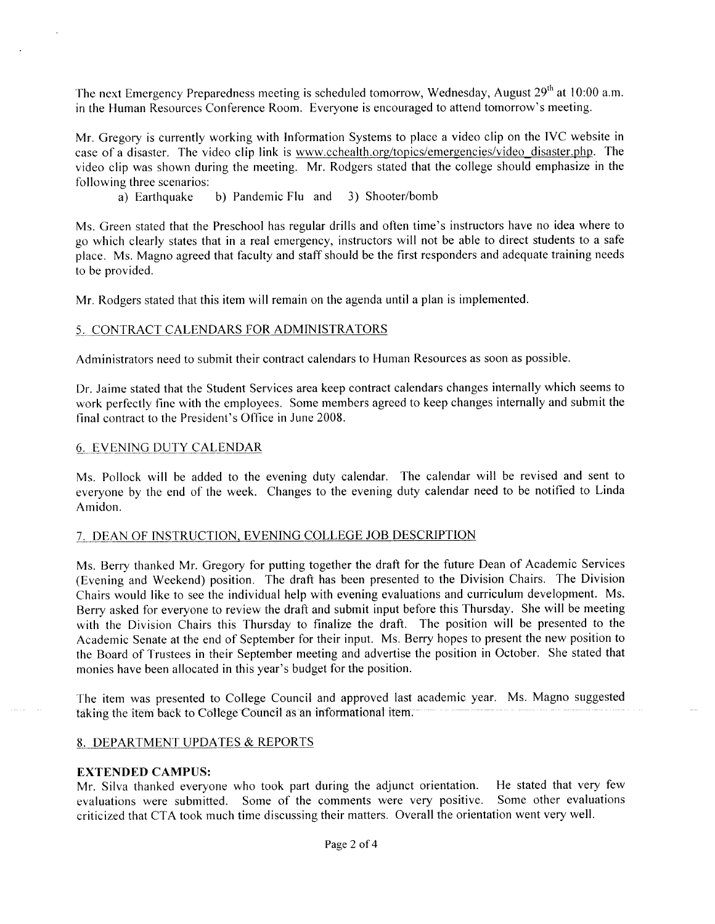The next Emergency Preparedness meeting is scheduled tomorrow, Wednesday, August 29<sup>th</sup> at 10:00 a.m. in the Human Resources Conference Room. Everyone is encouraged to attend tomorrow's meeting.

Mr. Gregory is currently working with Information Systems to place a video clip on the IVC website in case of a disaster. The video clip link is www.cchealth.org/topics/emergencies/video disaster.php. The video clip was shown during the meeting. Mr. Rodgers stated that the college should emphasize in the following three scenarios:

b) Pandemic Flu and 3) Shooter/bomb a) Earthquake

Ms. Green stated that the Preschool has regular drills and often time's instructors have no idea where to go which clearly states that in a real emergency, instructors will not be able to direct students to a safe place. Ms. Magno agreed that faculty and staff should be the first responders and adequate training needs to be provided.

Mr. Rodgers stated that this item will remain on the agenda until a plan is implemented.

## 5. CONTRACT CALENDARS FOR ADMINISTRATORS

Administrators need to submit their contract calendars to Human Resources as soon as possible.

Dr. Jaime stated that the Student Services area keep contract calendars changes internally which seems to work perfectly fine with the employees. Some members agreed to keep changes internally and submit the final contract to the President's Office in June 2008.

## **6. EVENING DUTY CALENDAR**

Ms. Pollock will be added to the evening duty calendar. The calendar will be revised and sent to everyone by the end of the week. Changes to the evening duty calendar need to be notified to Linda Amidon.

## 7. DEAN OF INSTRUCTION, EVENING COLLEGE JOB DESCRIPTION

Ms. Berry thanked Mr. Gregory for putting together the draft for the future Dean of Academic Services (Evening and Weekend) position. The draft has been presented to the Division Chairs. The Division Chairs would like to see the individual help with evening evaluations and curriculum development. Ms. Berry asked for everyone to review the draft and submit input before this Thursday. She will be meeting with the Division Chairs this Thursday to finalize the draft. The position will be presented to the Academic Senate at the end of September for their input. Ms. Berry hopes to present the new position to the Board of Trustees in their September meeting and advertise the position in October. She stated that monies have been allocated in this year's budget for the position.

The item was presented to College Council and approved last academic year. Ms. Magno suggested taking the item back to College Council as an informational item.

## 8. DEPARTMENT UPDATES & REPORTS

## **EXTENDED CAMPUS:**

Mr. Silva thanked everyone who took part during the adjunct orientation. He stated that very few evaluations were submitted. Some of the comments were very positive. Some other evaluations criticized that CTA took much time discussing their matters. Overall the orientation went very well.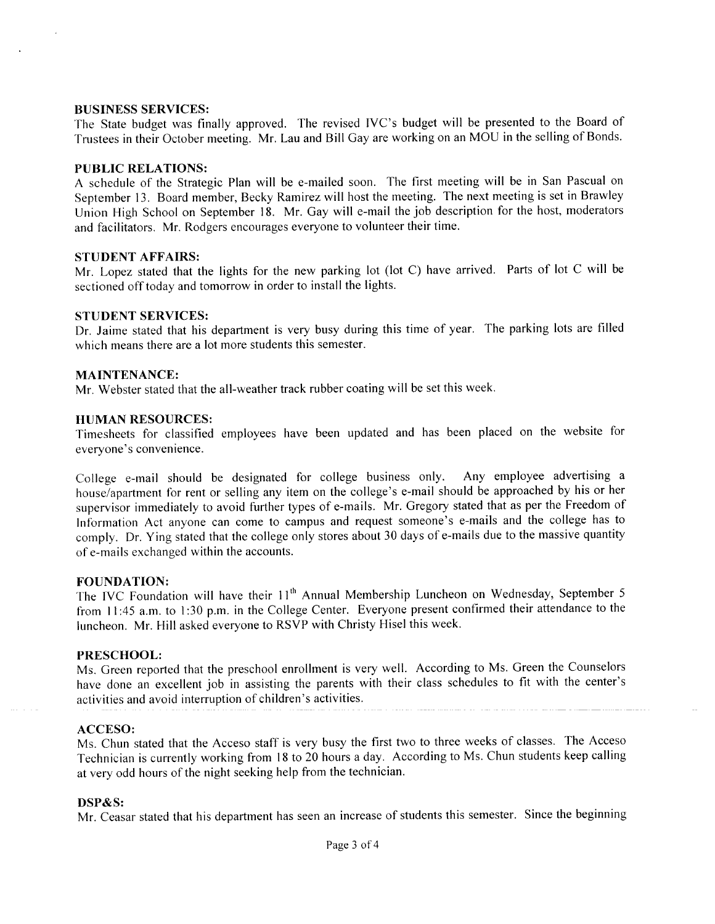#### **BUSINESS SERVICES:**

The State budget was finally approved. The revised IVC's budget will be presented to the Board of Trustees in their October meeting. Mr. Lau and Bill Gay are working on an MOU in the selling of Bonds.

## **PUBLIC RELATIONS:**

A schedule of the Strategic Plan will be e-mailed soon. The first meeting will be in San Pascual on September 13. Board member, Becky Ramirez will host the meeting. The next meeting is set in Brawley Union High School on September 18. Mr. Gay will e-mail the job description for the host, moderators and facilitators. Mr. Rodgers encourages everyone to volunteer their time.

#### **STUDENT AFFAIRS:**

Mr. Lopez stated that the lights for the new parking lot (lot C) have arrived. Parts of lot C will be sectioned off today and tomorrow in order to install the lights.

## **STUDENT SERVICES:**

Dr. Jaime stated that his department is very busy during this time of year. The parking lots are filled which means there are a lot more students this semester.

## **MAINTENANCE:**

Mr. Webster stated that the all-weather track rubber coating will be set this week.

#### **HUMAN RESOURCES:**

Timesheets for classified employees have been updated and has been placed on the website for everyone's convenience.

College e-mail should be designated for college business only. Any employee advertising a house/apartment for rent or selling any item on the college's e-mail should be approached by his or her supervisor immediately to avoid further types of e-mails. Mr. Gregory stated that as per the Freedom of Information Act anyone can come to campus and request someone's e-mails and the college has to comply. Dr. Ying stated that the college only stores about 30 days of e-mails due to the massive quantity of e-mails exchanged within the accounts.

### **FOUNDATION:**

The IVC Foundation will have their 11<sup>th</sup> Annual Membership Luncheon on Wednesday, September 5 from 11:45 a.m. to 1:30 p.m. in the College Center. Everyone present confirmed their attendance to the luncheon. Mr. Hill asked everyone to RSVP with Christy Hisel this week.

## PRESCHOOL:

Ms. Green reported that the preschool enrollment is very well. According to Ms. Green the Counselors have done an excellent job in assisting the parents with their class schedules to fit with the center's activities and avoid interruption of children's activities.

## **ACCESO:**

Ms. Chun stated that the Acceso staff is very busy the first two to three weeks of classes. The Acceso Technician is currently working from 18 to 20 hours a day. According to Ms. Chun students keep calling at very odd hours of the night seeking help from the technician.

## DSP&S:

Mr. Ceasar stated that his department has seen an increase of students this semester. Since the beginning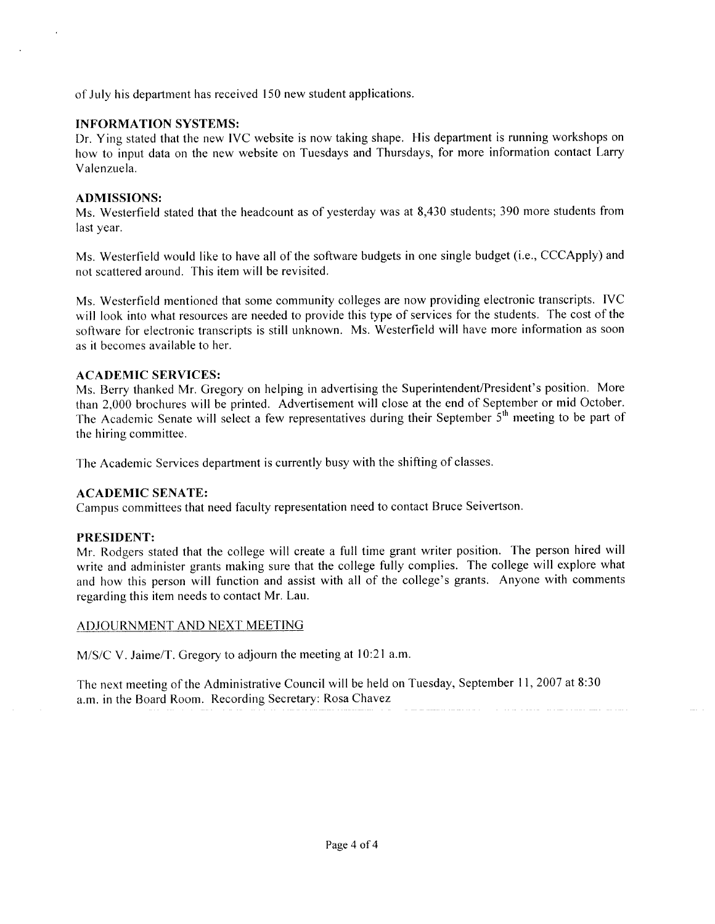of July his department has received 150 new student applications.

## **INFORMATION SYSTEMS:**

Dr. Ying stated that the new IVC website is now taking shape. His department is running workshops on how to input data on the new website on Tuesdays and Thursdays, for more information contact Larry Valenzuela.

## **ADMISSIONS:**

Ms. Westerfield stated that the headcount as of yesterday was at 8,430 students; 390 more students from last year.

Ms. Westerfield would like to have all of the software budgets in one single budget (i.e., CCCApply) and not scattered around. This item will be revisited.

Ms. Westerfield mentioned that some community colleges are now providing electronic transcripts. IVC will look into what resources are needed to provide this type of services for the students. The cost of the software for electronic transcripts is still unknown. Ms. Westerfield will have more information as soon as it becomes available to her.

## **ACADEMIC SERVICES:**

Ms. Berry thanked Mr. Gregory on helping in advertising the Superintendent/President's position. More than 2,000 brochures will be printed. Advertisement will close at the end of September or mid October. The Academic Senate will select a few representatives during their September 5<sup>th</sup> meeting to be part of the hiring committee.

The Academic Services department is currently busy with the shifting of classes.

## **ACADEMIC SENATE:**

Campus committees that need faculty representation need to contact Bruce Seivertson.

## **PRESIDENT:**

Mr. Rodgers stated that the college will create a full time grant writer position. The person hired will write and administer grants making sure that the college fully complies. The college will explore what and how this person will function and assist with all of the college's grants. Anyone with comments regarding this item needs to contact Mr. Lau.

## ADJOURNMENT AND NEXT MEETING

M/S/C V. Jaime/T. Gregory to adjourn the meeting at 10:21 a.m.

The next meeting of the Administrative Council will be held on Tuesday, September 11, 2007 at 8:30 a.m. in the Board Room. Recording Secretary: Rosa Chavez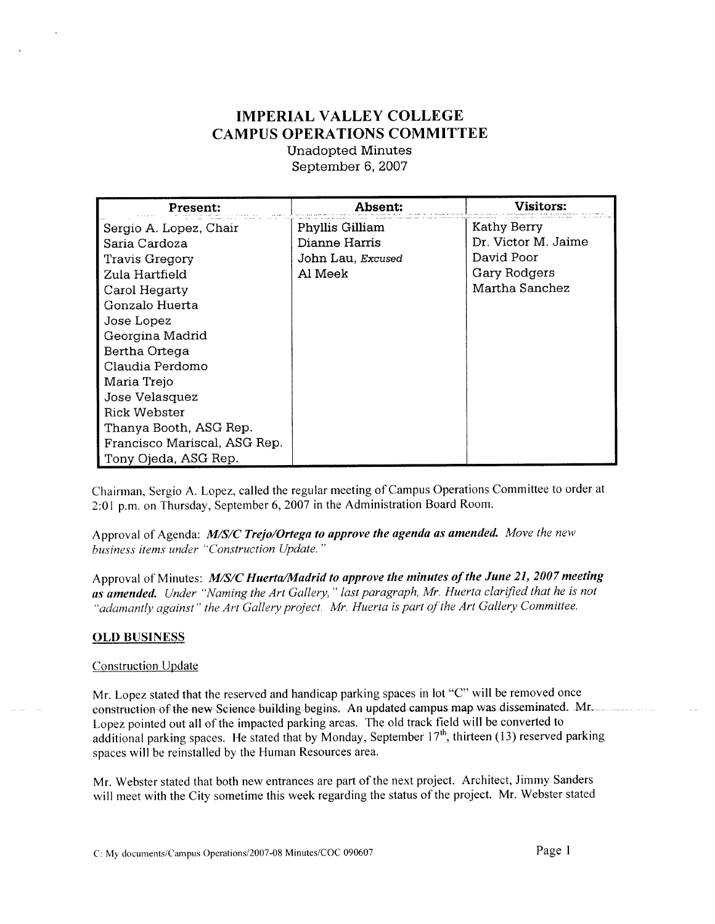# **IMPERIAL VALLEY COLLEGE CAMPUS OPERATIONS COMMITTEE Unadopted Minutes**

September 6, 2007

| Present:                     | <b>Absent:</b>    | Visitors:           |
|------------------------------|-------------------|---------------------|
| Sergio A. Lopez, Chair       | Phyllis Gilliam   | Kathy Berry         |
| Saria Cardoza                | Dianne Harris     | Dr. Victor M. Jaime |
| Travis Gregory               | John Lau, Excused | David Poor          |
| Zula Hartfield               | Al Meek           | Gary Rodgers        |
| Carol Hegarty                |                   | Martha Sanchez      |
| Gonzalo Huerta               |                   |                     |
| Jose Lopez                   |                   |                     |
| Georgina Madrid              |                   |                     |
| Bertha Ortega                |                   |                     |
| Claudia Perdomo              |                   |                     |
| Maria Trejo                  |                   |                     |
| Jose Velasquez               |                   |                     |
| Rick Webster                 |                   |                     |
| Thanya Booth, ASG Rep.       |                   |                     |
| Francisco Mariscal, ASG Rep. |                   |                     |
| Tony Ojeda, ASG Rep.         |                   |                     |

Chairman, Sergio A. Lopez, called the regular meeting of Campus Operations Committee to order at 2:01 p.m. on Thursday, September 6, 2007 in the Administration Board Room.

Approval of Agenda: M/S/C Trejo/Ortega to approve the agenda as amended. Move the new business items under "Construction Update."

Approval of Minutes: M/S/C Huerta/Madrid to approve the minutes of the June 21, 2007 meeting as amended. Under "Naming the Art Gallery," last paragraph, Mr. Huerta clarified that he is not "adamantly against" the Art Gallery project. Mr. Huerta is part of the Art Gallery Committee.

## **OLD BUSINESS**

## **Construction Update**

Mr. Lopez stated that the reserved and handicap parking spaces in lot "C" will be removed once construction of the new Science building begins. An updated campus map was disseminated. Mr. Lopez pointed out all of the impacted parking areas. The old track field will be converted to additional parking spaces. He stated that by Monday, September  $17<sup>th</sup>$ , thirteen (13) reserved parking spaces will be reinstalled by the Human Resources area.

Mr. Webster stated that both new entrances are part of the next project. Architect, Jimmy Sanders will meet with the City sometime this week regarding the status of the project. Mr. Webster stated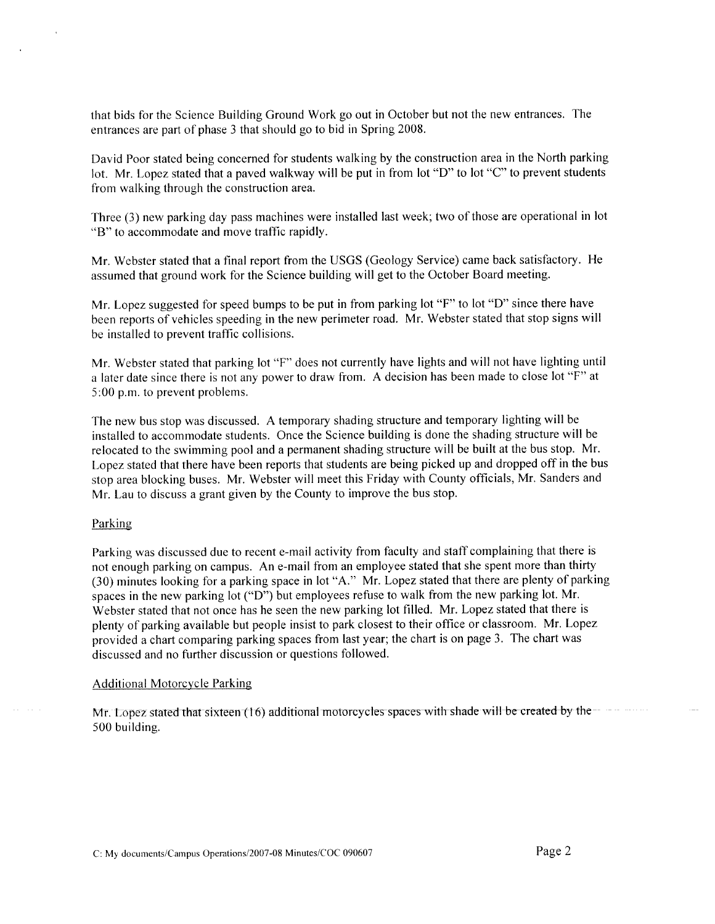that bids for the Science Building Ground Work go out in October but not the new entrances. The entrances are part of phase 3 that should go to bid in Spring 2008.

David Poor stated being concerned for students walking by the construction area in the North parking lot. Mr. Lopez stated that a paved walkway will be put in from lot "D" to lot "C" to prevent students from walking through the construction area.

Three (3) new parking day pass machines were installed last week; two of those are operational in lot "B" to accommodate and move traffic rapidly.

Mr. Webster stated that a final report from the USGS (Geology Service) came back satisfactory. He assumed that ground work for the Science building will get to the October Board meeting.

Mr. Lopez suggested for speed bumps to be put in from parking lot "F" to lot "D" since there have been reports of vehicles speeding in the new perimeter road. Mr. Webster stated that stop signs will be installed to prevent traffic collisions.

Mr. Webster stated that parking lot "F" does not currently have lights and will not have lighting until a later date since there is not any power to draw from. A decision has been made to close lot "F" at 5:00 p.m. to prevent problems.

The new bus stop was discussed. A temporary shading structure and temporary lighting will be installed to accommodate students. Once the Science building is done the shading structure will be relocated to the swimming pool and a permanent shading structure will be built at the bus stop. Mr. Lopez stated that there have been reports that students are being picked up and dropped off in the bus stop area blocking buses. Mr. Webster will meet this Friday with County officials, Mr. Sanders and Mr. Lau to discuss a grant given by the County to improve the bus stop.

## Parking

Parking was discussed due to recent e-mail activity from faculty and staff complaining that there is not enough parking on campus. An e-mail from an employee stated that she spent more than thirty (30) minutes looking for a parking space in lot "A." Mr. Lopez stated that there are plenty of parking spaces in the new parking lot ("D") but employees refuse to walk from the new parking lot. Mr. Webster stated that not once has he seen the new parking lot filled. Mr. Lopez stated that there is plenty of parking available but people insist to park closest to their office or classroom. Mr. Lopez provided a chart comparing parking spaces from last year; the chart is on page 3. The chart was discussed and no further discussion or questions followed.

#### **Additional Motorcycle Parking**

Mr. Lopez stated that sixteen  $(16)$  additional motorcycles spaces with shade will be created by the  $-$ 500 building.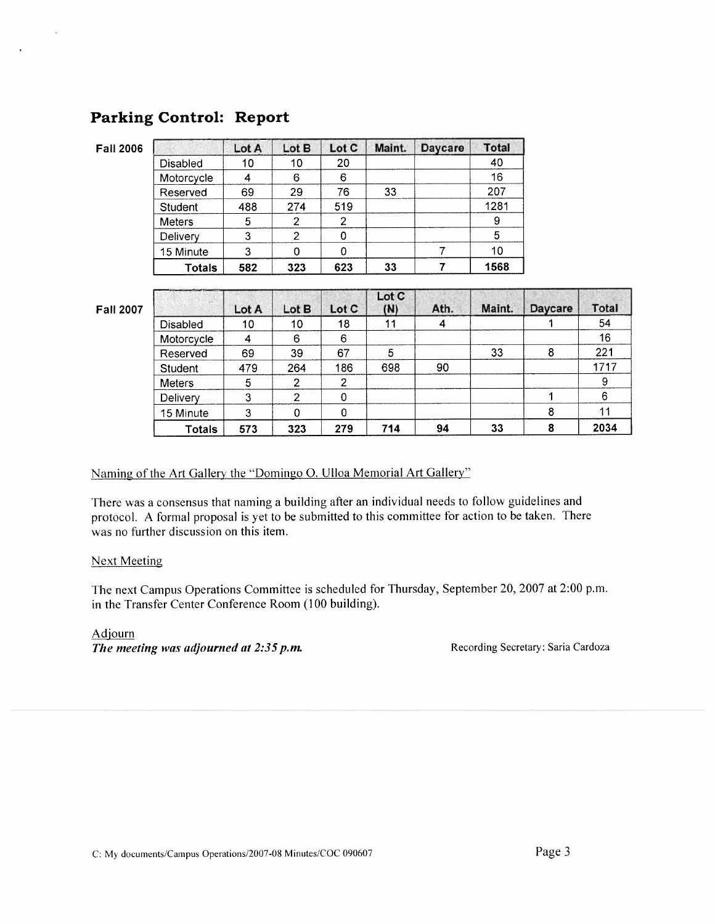# **Parking Control: Report**

| <b>Fall 2006</b> |                 | Lot A | Lot B          | Lot C          | Maint.       | <b>Daycare</b> | <b>Total</b> |                |              |
|------------------|-----------------|-------|----------------|----------------|--------------|----------------|--------------|----------------|--------------|
|                  | Disabled        | 10    | 10             | 20             |              |                | 40           |                |              |
|                  | Motorcycle      | 4     | 6              | 6              |              |                | 16           |                |              |
|                  | Reserved        | 69    | 29             | 76             | 33           |                | 207          |                |              |
|                  | Student         | 488   | 274            | 519            |              |                | 1281         |                |              |
|                  | <b>Meters</b>   | 5     | 2              | $\overline{c}$ |              |                | 9            |                |              |
|                  | Delivery        | 3     | $\overline{c}$ | 0              |              |                | 5            |                |              |
|                  | 15 Minute       | 3     | $\Omega$       | $\Omega$       |              | 7              | 10           |                |              |
|                  | <b>Totals</b>   | 582   | 323            | 623            | 33           | $\overline{7}$ | 1568         |                |              |
|                  |                 |       |                |                |              |                |              |                |              |
| <b>Fall 2007</b> |                 | Lot A | Lot B          | Lot C          | Lot C<br>(N) | Ath.           | Maint.       | <b>Daycare</b> | <b>Total</b> |
|                  | Disabled        | 10    | 10             | 18             | 11           | 4              |              |                | 54           |
|                  | Motorcycle      | 4     | 6              | 6              |              |                |              |                | 16           |
|                  | Reserved        | 69    | 39             | 67             | 5            |                | 33           | 8              | 221          |
|                  | Student         | 479   | 264            | 186            | 698          | 90             |              |                | 1717         |
|                  | <b>Meters</b>   | 5     | $\overline{2}$ | $\overline{c}$ |              |                |              |                | 9            |
|                  | <b>Delivery</b> | 3     | $\overline{c}$ | $\mathbf 0$    |              |                |              | 1              | 6            |
|                  | 15 Minute       | 3     | $\mathbf 0$    | $\Omega$       |              |                |              | 8              | 11           |
|                  | <b>Totals</b>   | 573   | 323            | 279            | 714          | 94             | 33           | 8              | 2034         |

## Naming of the Art Gallery the "Domingo O. Ulloa Memorial Art Gallery"

There was a consensus that naming a building after an individual needs to follow guidelines and protocol. A formal proposal is yet to be submitted to this committee for action to be taken. There was no further discussion on this item.

## **Next Meeting**

The next Campus Operations Committee is scheduled for Thursday, September 20, 2007 at 2:00 p.m. in the Transfer Center Conference Room (100 building).

## Adjourn

The meeting was adjourned at 2:35 p.m.

Recording Secretary: Saria Cardoza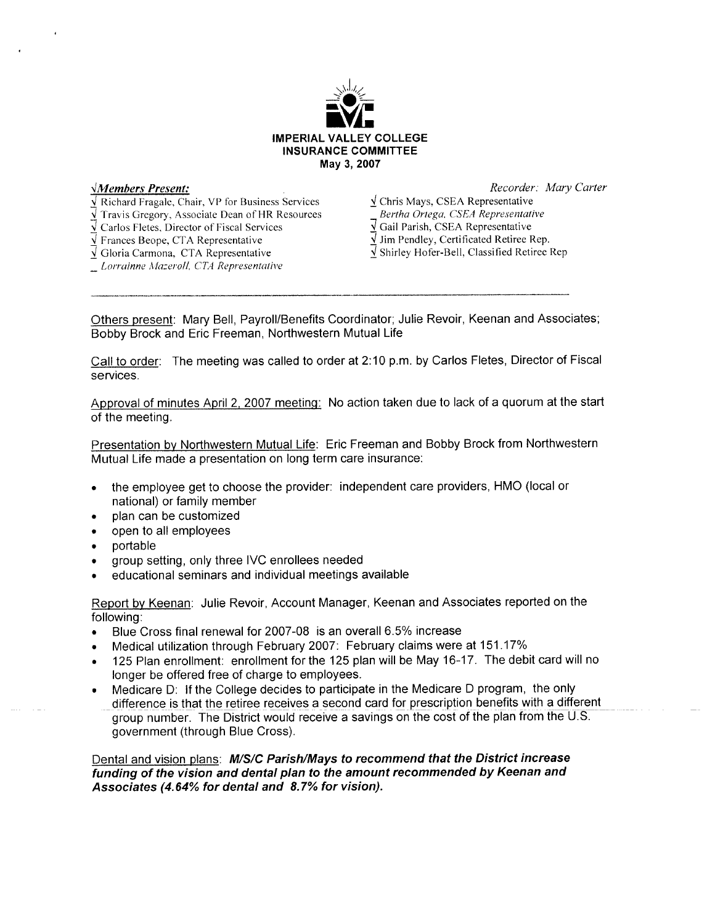

#### *Members Present:*

- V Richard Fragale, Chair, VP for Business Services
- √ Travis Gregory, Associate Dean of HR Resources
- $\sqrt{2}$  Carlos Fletes, Director of Fiscal Services
- $\sqrt{\frac{1}{2}}$  Frances Beope, CTA Representative
- $\sqrt{\frac{1}{2}}$  Gloria Carmona, CTA Representative
- Lorrainne Mazeroll, CTA Representative

Recorder: Mary Carter

 $\sqrt{\frac{1}{2}}$  Chris Mays, CSEA Representative Bertha Ortega, CSEA Representative  $\overline{\sqrt{2}}$  Gail Parish, CSEA Representative  $\overline{\sqrt{ }}$  Jim Pendley, Certificated Retiree Rep.  $\overline{\sqrt{}}$  Shirley Hofer-Bell, Classified Retiree Rep

Others present: Mary Bell, Payroll/Benefits Coordinator; Julie Revoir, Keenan and Associates; Bobby Brock and Eric Freeman, Northwestern Mutual Life

Call to order: The meeting was called to order at 2:10 p.m. by Carlos Fletes, Director of Fiscal services.

Approval of minutes April 2, 2007 meeting: No action taken due to lack of a quorum at the start of the meeting.

Presentation by Northwestern Mutual Life: Eric Freeman and Bobby Brock from Northwestern Mutual Life made a presentation on long term care insurance:

- the employee get to choose the provider: independent care providers, HMO (local or  $\bullet$ national) or family member
- plan can be customized
- open to all employees
- portable
- group setting, only three IVC enrollees needed
- educational seminars and individual meetings available

Report by Keenan: Julie Revoir, Account Manager, Keenan and Associates reported on the following:

- Blue Cross final renewal for 2007-08 is an overall 6.5% increase
- Medical utilization through February 2007: February claims were at 151.17%
- 125 Plan enrollment: enrollment for the 125 plan will be May 16-17. The debit card will no longer be offered free of charge to employees.
- Medicare D: If the College decides to participate in the Medicare D program, the only difference is that the retiree receives a second card for prescription benefits with a different group number. The District would receive a savings on the cost of the plan from the U.S. government (through Blue Cross).

Dental and vision plans: M/S/C Parish/Mays to recommend that the District increase funding of the vision and dental plan to the amount recommended by Keenan and Associates (4.64% for dental and 8.7% for vision).